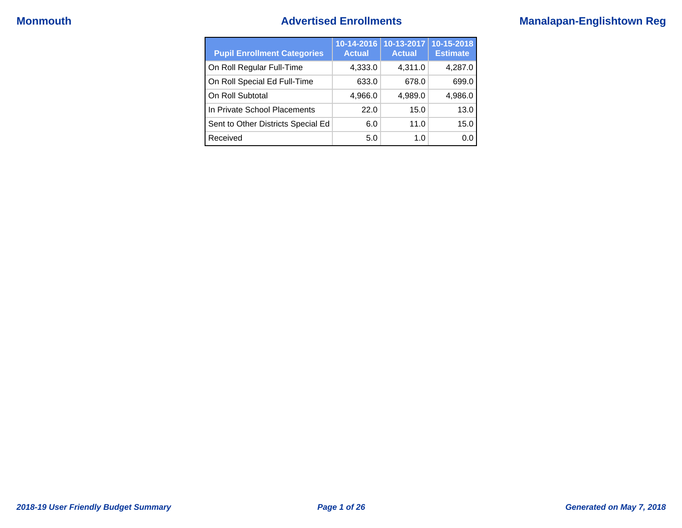## **Monmouth Advertised Enrollments Manalapan-Englishtown Reg**

| <b>Pupil Enrollment Categories</b> | 10-14-2016<br><b>Actual</b> | 10-13-2017<br><b>Actual</b> | 10-15-2018<br><b>Estimate</b> |
|------------------------------------|-----------------------------|-----------------------------|-------------------------------|
| On Roll Regular Full-Time          | 4,333.0                     | 4,311.0                     | 4,287.0                       |
| On Roll Special Ed Full-Time       | 633.0                       | 678.0                       | 699.0                         |
| On Roll Subtotal                   | 4,966.0                     | 4,989.0                     | 4,986.0                       |
| In Private School Placements       | 22.0                        | 15.0                        | 13.0                          |
| Sent to Other Districts Special Ed | 6.0                         | 11.0                        | 15.0                          |
| Received                           | 5.0                         | 1. $\Omega$                 | 0.0                           |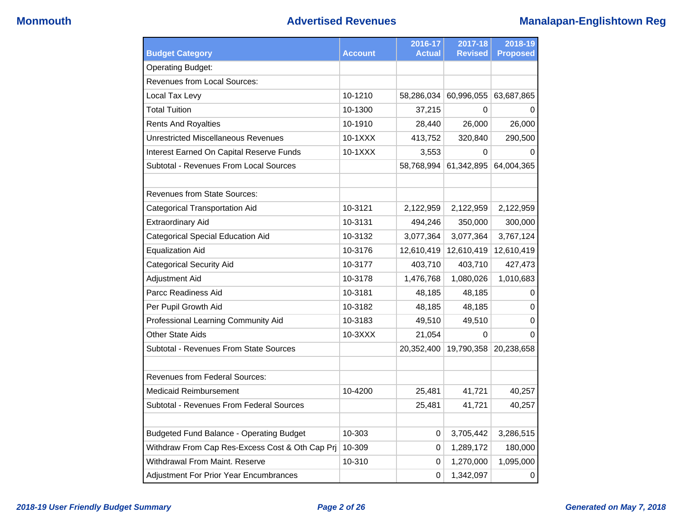| <b>Budget Category</b>                          | <b>Account</b> | 2016-17<br><b>Actual</b> | 2017-18<br><b>Revised</b> | 2018-19<br><b>Proposed</b> |
|-------------------------------------------------|----------------|--------------------------|---------------------------|----------------------------|
| <b>Operating Budget:</b>                        |                |                          |                           |                            |
| <b>Revenues from Local Sources:</b>             |                |                          |                           |                            |
| Local Tax Levy                                  | 10-1210        | 58,286,034               | 60,996,055                | 63,687,865                 |
| <b>Total Tuition</b>                            | 10-1300        | 37,215                   | 0                         | 0                          |
| <b>Rents And Royalties</b>                      | 10-1910        | 28,440                   | 26,000                    | 26,000                     |
| <b>Unrestricted Miscellaneous Revenues</b>      | 10-1XXX        | 413,752                  | 320,840                   | 290,500                    |
| Interest Earned On Capital Reserve Funds        | $10-1XXX$      | 3,553                    | $\Omega$                  | O                          |
| Subtotal - Revenues From Local Sources          |                | 58,768,994               | 61,342,895                | 64,004,365                 |
| <b>Revenues from State Sources:</b>             |                |                          |                           |                            |
| <b>Categorical Transportation Aid</b>           | 10-3121        | 2,122,959                | 2,122,959                 | 2,122,959                  |
| <b>Extraordinary Aid</b>                        | 10-3131        | 494,246                  | 350,000                   | 300,000                    |
| <b>Categorical Special Education Aid</b>        | 10-3132        | 3,077,364                | 3,077,364                 | 3,767,124                  |
| <b>Equalization Aid</b>                         | 10-3176        | 12,610,419               | 12,610,419                | 12,610,419                 |
| <b>Categorical Security Aid</b>                 | 10-3177        | 403,710                  | 403,710                   | 427,473                    |
| <b>Adjustment Aid</b>                           | 10-3178        | 1,476,768                | 1,080,026                 | 1,010,683                  |
| Parcc Readiness Aid                             | 10-3181        | 48,185                   | 48,185                    | 0                          |
| Per Pupil Growth Aid                            | 10-3182        | 48,185                   | 48,185                    | 0                          |
| Professional Learning Community Aid             | 10-3183        | 49,510                   | 49,510                    | 0                          |
| <b>Other State Aids</b>                         | $10-3XXX$      | 21,054                   | 0                         | 0                          |
| Subtotal - Revenues From State Sources          |                | 20,352,400               | 19,790,358                | 20,238,658                 |
| <b>Revenues from Federal Sources:</b>           |                |                          |                           |                            |
| Medicaid Reimbursement                          | 10-4200        | 25,481                   | 41,721                    | 40,257                     |
| Subtotal - Revenues From Federal Sources        |                | 25,481                   | 41,721                    | 40,257                     |
|                                                 |                |                          |                           |                            |
| <b>Budgeted Fund Balance - Operating Budget</b> | 10-303         | 0                        | 3,705,442                 | 3,286,515                  |
| Withdraw From Cap Res-Excess Cost & Oth Cap Prj | 10-309         | 0                        | 1,289,172                 | 180,000                    |
| Withdrawal From Maint, Reserve                  | 10-310         | 0                        | 1,270,000                 | 1,095,000                  |
| Adjustment For Prior Year Encumbrances          |                | 0                        | 1,342,097                 | 0                          |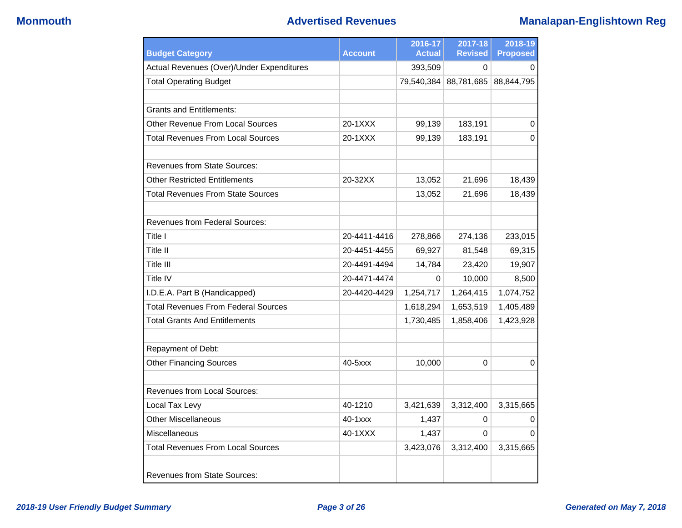## **Monmouth Advertised Revenues Manalapan-Englishtown Reg**

| <b>Budget Category</b>                     | <b>Account</b> | 2016-17<br><b>Actual</b> | 2017-18<br><b>Revised</b> | 2018-19<br><b>Proposed</b> |
|--------------------------------------------|----------------|--------------------------|---------------------------|----------------------------|
| Actual Revenues (Over)/Under Expenditures  |                | 393,509                  | 0                         | 0                          |
| <b>Total Operating Budget</b>              |                | 79,540,384               | 88,781,685                | 88,844,795                 |
|                                            |                |                          |                           |                            |
| <b>Grants and Entitlements:</b>            |                |                          |                           |                            |
| <b>Other Revenue From Local Sources</b>    | 20-1XXX        | 99,139                   | 183,191                   | 0                          |
| <b>Total Revenues From Local Sources</b>   | 20-1XXX        | 99,139                   | 183,191                   | 0                          |
|                                            |                |                          |                           |                            |
| <b>Revenues from State Sources:</b>        |                |                          |                           |                            |
| <b>Other Restricted Entitlements</b>       | 20-32XX        | 13,052                   | 21,696                    | 18,439                     |
| <b>Total Revenues From State Sources</b>   |                | 13,052                   | 21,696                    | 18,439                     |
|                                            |                |                          |                           |                            |
| <b>Revenues from Federal Sources:</b>      |                |                          |                           |                            |
| Title I                                    | 20-4411-4416   | 278,866                  | 274,136                   | 233,015                    |
| Title II                                   | 20-4451-4455   | 69,927                   | 81,548                    | 69,315                     |
| Title III                                  | 20-4491-4494   | 14,784                   | 23,420                    | 19,907                     |
| Title IV                                   | 20-4471-4474   | 0                        | 10,000                    | 8,500                      |
| I.D.E.A. Part B (Handicapped)              | 20-4420-4429   | 1,254,717                | 1,264,415                 | 1,074,752                  |
| <b>Total Revenues From Federal Sources</b> |                | 1,618,294                | 1,653,519                 | 1,405,489                  |
| <b>Total Grants And Entitlements</b>       |                | 1,730,485                | 1,858,406                 | 1,423,928                  |
|                                            |                |                          |                           |                            |
| Repayment of Debt:                         |                |                          |                           |                            |
| <b>Other Financing Sources</b>             | 40-5xxx        | 10,000                   | $\Omega$                  | 0                          |
|                                            |                |                          |                           |                            |
| <b>Revenues from Local Sources:</b>        |                |                          |                           |                            |
| Local Tax Levy                             | 40-1210        | 3,421,639                | 3,312,400                 | 3,315,665                  |
| <b>Other Miscellaneous</b>                 | $40 - 1$ $xxx$ | 1,437                    | 0                         | 0                          |
| Miscellaneous                              | 40-1XXX        | 1,437                    | 0                         | 0                          |
| <b>Total Revenues From Local Sources</b>   |                | 3,423,076                | 3,312,400                 | 3,315,665                  |
|                                            |                |                          |                           |                            |
| <b>Revenues from State Sources:</b>        |                |                          |                           |                            |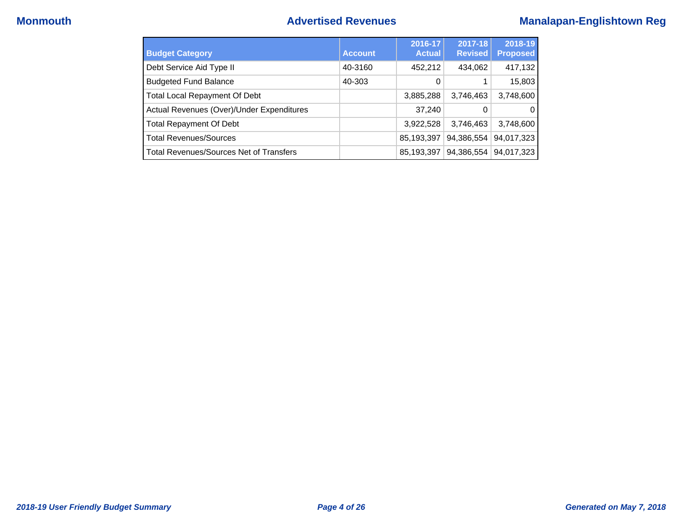## **Monmouth Advertised Revenues Manalapan-Englishtown Reg**

| <b>Budget Category</b>                         | <b>Account</b> | 2016-17<br><b>Actual</b> | 2017-18<br><b>Revised</b> | 2018-19<br><b>Proposed</b> |
|------------------------------------------------|----------------|--------------------------|---------------------------|----------------------------|
| Debt Service Aid Type II                       | 40-3160        | 452,212                  | 434,062                   | 417,132                    |
| <b>Budgeted Fund Balance</b>                   | 40-303         | $\Omega$                 |                           | 15,803                     |
| <b>Total Local Repayment Of Debt</b>           |                | 3,885,288                | 3,746,463                 | 3,748,600                  |
| Actual Revenues (Over)/Under Expenditures      |                | 37,240                   | 0                         | O                          |
| <b>Total Repayment Of Debt</b>                 |                | 3,922,528                | 3,746,463                 | 3,748,600                  |
| <b>Total Revenues/Sources</b>                  |                | 85,193,397               | 94,386,554                | 94,017,323                 |
| <b>Total Revenues/Sources Net of Transfers</b> |                | 85,193,397               | 94,386,554                | 94,017,323                 |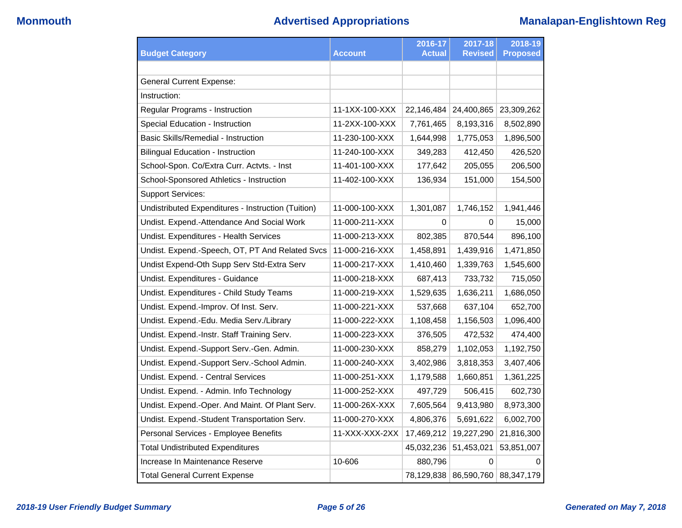|                                                    |                | 2016-17       | 2017-18               | 2018-19         |
|----------------------------------------------------|----------------|---------------|-----------------------|-----------------|
| <b>Budget Category</b>                             | <b>Account</b> | <b>Actual</b> | <b>Revised</b>        | <b>Proposed</b> |
|                                                    |                |               |                       |                 |
| <b>General Current Expense:</b>                    |                |               |                       |                 |
| Instruction:                                       |                |               |                       |                 |
| Regular Programs - Instruction                     | 11-1XX-100-XXX | 22,146,484    | 24,400,865            | 23,309,262      |
| Special Education - Instruction                    | 11-2XX-100-XXX | 7,761,465     | 8,193,316             | 8,502,890       |
| <b>Basic Skills/Remedial - Instruction</b>         | 11-230-100-XXX | 1,644,998     | 1,775,053             | 1,896,500       |
| Bilingual Education - Instruction                  | 11-240-100-XXX | 349,283       | 412,450               | 426,520         |
| School-Spon. Co/Extra Curr. Actvts. - Inst         | 11-401-100-XXX | 177,642       | 205,055               | 206,500         |
| School-Sponsored Athletics - Instruction           | 11-402-100-XXX | 136,934       | 151,000               | 154,500         |
| <b>Support Services:</b>                           |                |               |                       |                 |
| Undistributed Expenditures - Instruction (Tuition) | 11-000-100-XXX | 1,301,087     | 1,746,152             | 1,941,446       |
| Undist. Expend.-Attendance And Social Work         | 11-000-211-XXX | 0             | $\Omega$              | 15,000          |
| Undist. Expenditures - Health Services             | 11-000-213-XXX | 802,385       | 870,544               | 896,100         |
| Undist. Expend.-Speech, OT, PT And Related Svcs    | 11-000-216-XXX | 1,458,891     | 1,439,916             | 1,471,850       |
| Undist Expend-Oth Supp Serv Std-Extra Serv         | 11-000-217-XXX | 1,410,460     | 1,339,763             | 1,545,600       |
| Undist. Expenditures - Guidance                    | 11-000-218-XXX | 687,413       | 733,732               | 715,050         |
| Undist. Expenditures - Child Study Teams           | 11-000-219-XXX | 1,529,635     | 1,636,211             | 1,686,050       |
| Undist. Expend.-Improv. Of Inst. Serv.             | 11-000-221-XXX | 537,668       | 637,104               | 652,700         |
| Undist. Expend.-Edu. Media Serv./Library           | 11-000-222-XXX | 1,108,458     | 1,156,503             | 1,096,400       |
| Undist. Expend.-Instr. Staff Training Serv.        | 11-000-223-XXX | 376,505       | 472,532               | 474,400         |
| Undist. Expend.-Support Serv.-Gen. Admin.          | 11-000-230-XXX | 858,279       | 1,102,053             | 1,192,750       |
| Undist. Expend.-Support Serv.-School Admin.        | 11-000-240-XXX | 3,402,986     | 3,818,353             | 3,407,406       |
| Undist. Expend. - Central Services                 | 11-000-251-XXX | 1,179,588     | 1,660,851             | 1,361,225       |
| Undist. Expend. - Admin. Info Technology           | 11-000-252-XXX | 497,729       | 506,415               | 602,730         |
| Undist. Expend.-Oper. And Maint. Of Plant Serv.    | 11-000-26X-XXX | 7,605,564     | 9,413,980             | 8,973,300       |
| Undist. Expend.-Student Transportation Serv.       | 11-000-270-XXX | 4,806,376     | 5,691,622             | 6,002,700       |
| Personal Services - Employee Benefits              | 11-XXX-XXX-2XX | 17,469,212    | 19,227,290            | 21,816,300      |
| <b>Total Undistributed Expenditures</b>            |                | 45,032,236    | 51,453,021            | 53,851,007      |
| Increase In Maintenance Reserve                    | 10-606         | 880,796       | $\Omega$              | 0               |
| <b>Total General Current Expense</b>               |                |               | 78,129,838 86,590,760 | 88,347,179      |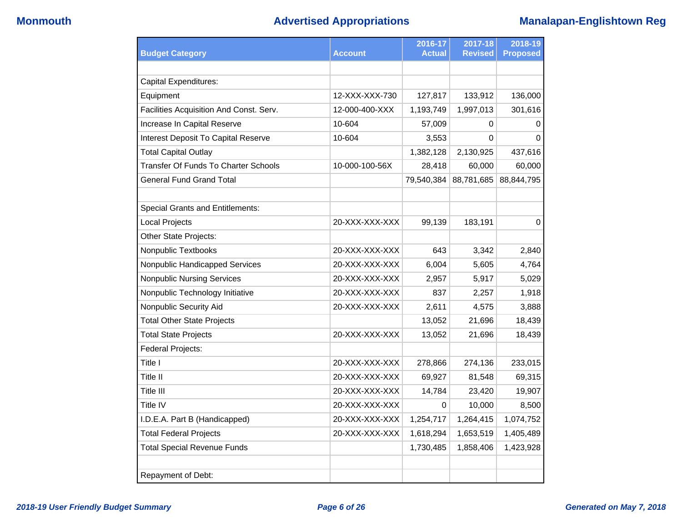|                                             |                | 2016-17       | 2017-18        | 2018-19         |
|---------------------------------------------|----------------|---------------|----------------|-----------------|
| <b>Budget Category</b>                      | <b>Account</b> | <b>Actual</b> | <b>Revised</b> | <b>Proposed</b> |
|                                             |                |               |                |                 |
| <b>Capital Expenditures:</b>                |                |               |                |                 |
| Equipment                                   | 12-XXX-XXX-730 | 127,817       | 133,912        | 136,000         |
| Facilities Acquisition And Const. Serv.     | 12-000-400-XXX | 1,193,749     | 1,997,013      | 301,616         |
| Increase In Capital Reserve                 | 10-604         | 57,009        | 0              | 0               |
| Interest Deposit To Capital Reserve         | 10-604         | 3,553         | $\Omega$       | $\Omega$        |
| <b>Total Capital Outlay</b>                 |                | 1,382,128     | 2,130,925      | 437,616         |
| <b>Transfer Of Funds To Charter Schools</b> | 10-000-100-56X | 28,418        | 60,000         | 60,000          |
| <b>General Fund Grand Total</b>             |                | 79,540,384    | 88,781,685     | 88,844,795      |
|                                             |                |               |                |                 |
| <b>Special Grants and Entitlements:</b>     |                |               |                |                 |
| Local Projects                              | 20-XXX-XXX-XXX | 99,139        | 183,191        | 0               |
| Other State Projects:                       |                |               |                |                 |
| Nonpublic Textbooks                         | 20-XXX-XXX-XXX | 643           | 3,342          | 2,840           |
| Nonpublic Handicapped Services              | 20-XXX-XXX-XXX | 6,004         | 5,605          | 4,764           |
| <b>Nonpublic Nursing Services</b>           | 20-XXX-XXX-XXX | 2,957         | 5,917          | 5,029           |
| Nonpublic Technology Initiative             | 20-XXX-XXX-XXX | 837           | 2,257          | 1,918           |
| Nonpublic Security Aid                      | 20-XXX-XXX-XXX | 2,611         | 4,575          | 3,888           |
| <b>Total Other State Projects</b>           |                | 13,052        | 21,696         | 18,439          |
| <b>Total State Projects</b>                 | 20-XXX-XXX-XXX | 13,052        | 21,696         | 18,439          |
| Federal Projects:                           |                |               |                |                 |
| Title I                                     | 20-XXX-XXX-XXX | 278,866       | 274,136        | 233,015         |
| Title II                                    | 20-XXX-XXX-XXX | 69,927        | 81,548         | 69,315          |
| Title III                                   | 20-XXX-XXX-XXX | 14,784        | 23,420         | 19,907          |
| Title IV                                    | 20-XXX-XXX-XXX | 0             | 10,000         | 8,500           |
| I.D.E.A. Part B (Handicapped)               | 20-XXX-XXX-XXX | 1,254,717     | 1,264,415      | 1,074,752       |
| <b>Total Federal Projects</b>               | 20-XXX-XXX-XXX | 1,618,294     | 1,653,519      | 1,405,489       |
| <b>Total Special Revenue Funds</b>          |                | 1,730,485     | 1,858,406      | 1,423,928       |
|                                             |                |               |                |                 |
| Repayment of Debt:                          |                |               |                |                 |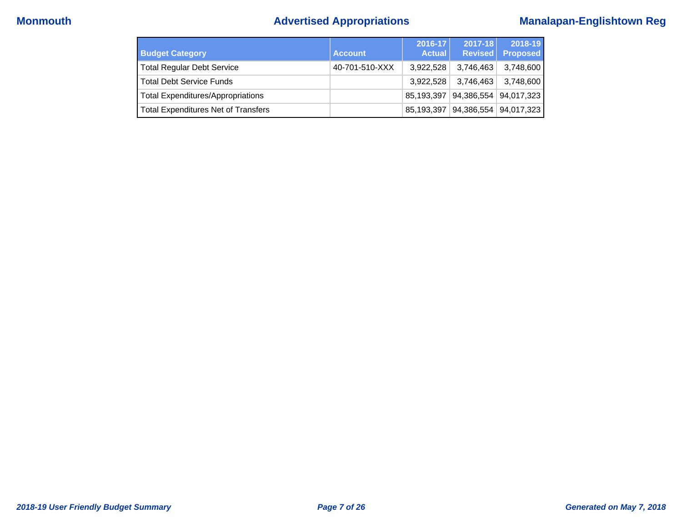# **Monmouth Advertised Appropriations Manalapan-Englishtown Reg**

| <b>Budget Category</b>                     | <b>Account</b> | 2016-17<br><b>Actual</b> | $2017 - 18$<br><b>Revised</b> | 2018-19<br><b>Proposed</b> |
|--------------------------------------------|----------------|--------------------------|-------------------------------|----------------------------|
| <b>Total Regular Debt Service</b>          | 40-701-510-XXX | 3.922.528                | 3,746,463                     | 3,748,600                  |
| <b>Total Debt Service Funds</b>            |                | 3.922.528                | 3,746,463                     | 3,748,600                  |
| <b>Total Expenditures/Appropriations</b>   |                | 85,193,397               |                               | 94,386,554 94,017,323      |
| <b>Total Expenditures Net of Transfers</b> |                | 85,193,397               |                               | 94,386,554 94,017,323      |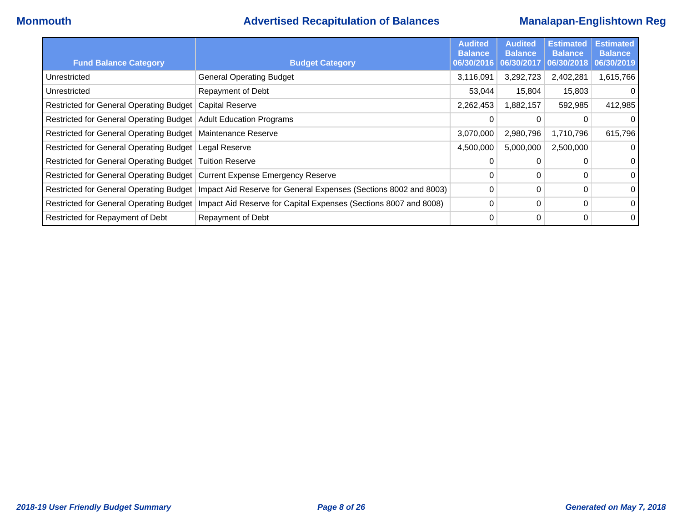## **Monmouth Advertised Recapitulation of Balances Manalapan-Englishtown Reg**

| <b>Fund Balance Category</b>                                              | <b>Budget Category</b>                                                                                     | <b>Audited</b><br><b>Balance</b><br>06/30/2016 | <b>Audited</b><br><b>Balance</b><br>06/30/2017 | <b>Estimated</b><br><b>Balance</b><br>06/30/2018 | <b>Estimated</b><br><b>Balance</b><br>06/30/2019 |
|---------------------------------------------------------------------------|------------------------------------------------------------------------------------------------------------|------------------------------------------------|------------------------------------------------|--------------------------------------------------|--------------------------------------------------|
| Unrestricted                                                              | <b>General Operating Budget</b>                                                                            | 3,116,091                                      | 3,292,723                                      | 2,402,281                                        | 1,615,766                                        |
| Unrestricted                                                              | Repayment of Debt                                                                                          | 53,044                                         | 15,804                                         | 15,803                                           | $\Omega$                                         |
| Restricted for General Operating Budget   Capital Reserve                 |                                                                                                            | 2,262,453                                      | 1,882,157                                      | 592,985                                          | 412,985                                          |
| Restricted for General Operating Budget   Adult Education Programs        |                                                                                                            | 0                                              | 0                                              |                                                  | $\Omega$                                         |
| Restricted for General Operating Budget   Maintenance Reserve             |                                                                                                            | 3,070,000                                      | 2,980,796                                      | 1,710,796                                        | 615,796                                          |
| Restricted for General Operating Budget   Legal Reserve                   |                                                                                                            | 4,500,000                                      | 5,000,000                                      | 2,500,000                                        | 0                                                |
| Restricted for General Operating Budget   Tuition Reserve                 |                                                                                                            | 0                                              |                                                |                                                  | $\overline{0}$                                   |
| Restricted for General Operating Budget Current Expense Emergency Reserve |                                                                                                            | 0                                              | 0                                              | 0                                                | $\overline{0}$                                   |
|                                                                           | Restricted for General Operating Budget   Impact Aid Reserve for General Expenses (Sections 8002 and 8003) | $\Omega$                                       | 0                                              | 0                                                | $\overline{0}$                                   |
|                                                                           | Restricted for General Operating Budget   Impact Aid Reserve for Capital Expenses (Sections 8007 and 8008) | 0                                              | 0                                              | 0                                                | $\overline{0}$                                   |
| Restricted for Repayment of Debt                                          | Repayment of Debt                                                                                          | 0                                              | 0                                              | 0                                                | $\overline{0}$                                   |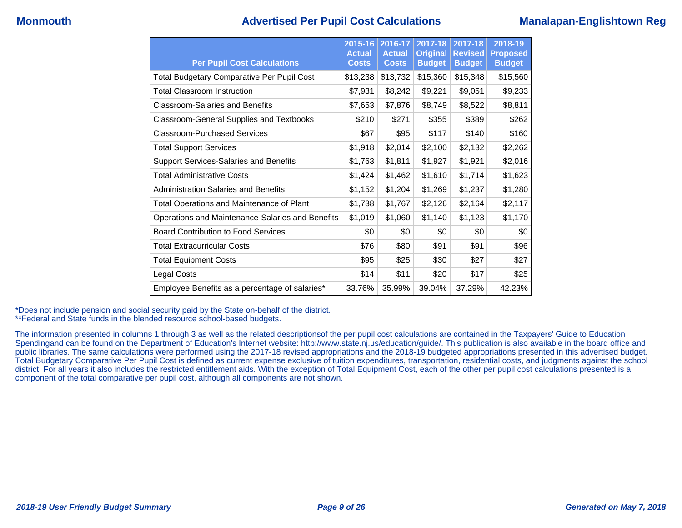## **Monmouth Advertised Per Pupil Cost Calculations Manalapan-Englishtown Reg**

| <b>Per Pupil Cost Calculations</b>                | 2015-16<br><b>Actual</b><br><b>Costs</b> | 2016-17<br><b>Actual</b><br><b>Costs</b> | 2017-18<br><b>Original</b><br><b>Budget</b> | 2017-18<br><b>Revised</b><br><b>Budget</b> | 2018-19<br><b>Proposed</b><br><b>Budget</b> |
|---------------------------------------------------|------------------------------------------|------------------------------------------|---------------------------------------------|--------------------------------------------|---------------------------------------------|
| <b>Total Budgetary Comparative Per Pupil Cost</b> | \$13,238                                 | \$13,732                                 | \$15,360                                    | \$15,348                                   | \$15,560                                    |
| <b>Total Classroom Instruction</b>                | \$7,931                                  | \$8,242                                  | \$9,221                                     | \$9,051                                    | \$9,233                                     |
| <b>Classroom-Salaries and Benefits</b>            | \$7,653                                  | \$7,876                                  | \$8,749                                     | \$8,522                                    | \$8,811                                     |
| Classroom-General Supplies and Textbooks          | \$210                                    | \$271                                    | \$355                                       | \$389                                      | \$262                                       |
| Classroom-Purchased Services                      | \$67                                     | \$95                                     | \$117                                       | \$140                                      | \$160                                       |
| <b>Total Support Services</b>                     | \$1,918                                  | \$2,014                                  | \$2,100                                     | \$2,132                                    | \$2,262                                     |
| <b>Support Services-Salaries and Benefits</b>     | \$1,763                                  | \$1,811                                  | \$1,927                                     | \$1,921                                    | \$2,016                                     |
| <b>Total Administrative Costs</b>                 | \$1,424                                  | \$1,462                                  | \$1,610                                     | \$1,714                                    | \$1,623                                     |
| Administration Salaries and Benefits              | \$1,152                                  | \$1,204                                  | \$1,269                                     | \$1,237                                    | \$1,280                                     |
| <b>Total Operations and Maintenance of Plant</b>  | \$1,738                                  | \$1,767                                  | \$2,126                                     | \$2,164                                    | \$2,117                                     |
| Operations and Maintenance-Salaries and Benefits  | \$1,019                                  | \$1,060                                  | \$1,140                                     | \$1,123                                    | \$1,170                                     |
| <b>Board Contribution to Food Services</b>        | \$0                                      | \$0                                      | \$0                                         | \$0                                        | \$0                                         |
| <b>Total Extracurricular Costs</b>                | \$76                                     | \$80                                     | \$91                                        | \$91                                       | \$96                                        |
| <b>Total Equipment Costs</b>                      | \$95                                     | \$25                                     | \$30                                        | \$27                                       | \$27                                        |
| Legal Costs                                       | \$14                                     | \$11                                     | \$20                                        | \$17                                       | \$25                                        |
| Employee Benefits as a percentage of salaries*    | 33.76%                                   | 35.99%                                   | 39.04%                                      | 37.29%                                     | 42.23%                                      |

\*Does not include pension and social security paid by the State on-behalf of the district.

\*\*Federal and State funds in the blended resource school-based budgets.

The information presented in columns 1 through 3 as well as the related descriptionsof the per pupil cost calculations are contained in the Taxpayers' Guide to Education Spendingand can be found on the Department of Education's Internet website: http://www.state.nj.us/education/guide/. This publication is also available in the board office and public libraries. The same calculations were performed using the 2017-18 revised appropriations and the 2018-19 budgeted appropriations presented in this advertised budget. Total Budgetary Comparative Per Pupil Cost is defined as current expense exclusive of tuition expenditures, transportation, residential costs, and judgments against the school district. For all years it also includes the restricted entitlement aids. With the exception of Total Equipment Cost, each of the other per pupil cost calculations presented is a component of the total comparative per pupil cost, although all components are not shown.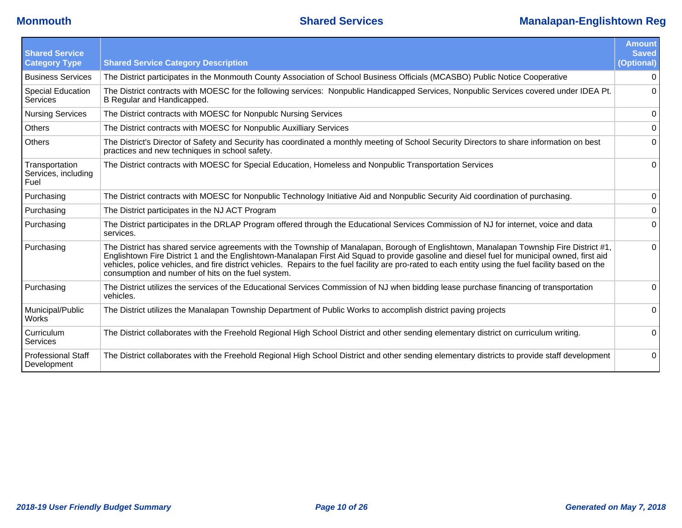| <b>Shared Service</b><br><b>Category Type</b> | <b>Shared Service Category Description</b>                                                                                                                                                                                                                                                                                                                                                                                                                                                             | <b>Amount</b><br><b>Saved</b><br>(Optional) |
|-----------------------------------------------|--------------------------------------------------------------------------------------------------------------------------------------------------------------------------------------------------------------------------------------------------------------------------------------------------------------------------------------------------------------------------------------------------------------------------------------------------------------------------------------------------------|---------------------------------------------|
| <b>Business Services</b>                      | The District participates in the Monmouth County Association of School Business Officials (MCASBO) Public Notice Cooperative                                                                                                                                                                                                                                                                                                                                                                           | $\overline{0}$                              |
| Special Education<br>Services                 | The District contracts with MOESC for the following services: Nonpublic Handicapped Services, Nonpublic Services covered under IDEA Pt.<br>B Regular and Handicapped.                                                                                                                                                                                                                                                                                                                                  | $\Omega$                                    |
| <b>Nursing Services</b>                       | The District contracts with MOESC for Nonpublc Nursing Services                                                                                                                                                                                                                                                                                                                                                                                                                                        | 0                                           |
| <b>Others</b>                                 | The District contracts with MOESC for Nonpublic Auxilliary Services                                                                                                                                                                                                                                                                                                                                                                                                                                    | $\overline{0}$                              |
| <b>Others</b>                                 | The District's Director of Safety and Security has coordinated a monthly meeting of School Security Directors to share information on best<br>practices and new techniques in school safety.                                                                                                                                                                                                                                                                                                           | 0                                           |
| Transportation<br>Services, including<br>Fuel | The District contracts with MOESC for Special Education, Homeless and Nonpublic Transportation Services                                                                                                                                                                                                                                                                                                                                                                                                | $\overline{0}$                              |
| Purchasing                                    | The District contracts with MOESC for Nonpublic Technology Initiative Aid and Nonpublic Security Aid coordination of purchasing.                                                                                                                                                                                                                                                                                                                                                                       | $\overline{0}$                              |
| Purchasing                                    | The District participates in the NJ ACT Program                                                                                                                                                                                                                                                                                                                                                                                                                                                        | $\overline{0}$                              |
| Purchasing                                    | The District participates in the DRLAP Program offered through the Educational Services Commission of NJ for internet, voice and data<br>services.                                                                                                                                                                                                                                                                                                                                                     | $\Omega$                                    |
| Purchasing                                    | The District has shared service agreements with the Township of Manalapan, Borough of Englishtown, Manalapan Township Fire District #1,<br>Englishtown Fire District 1 and the Englishtown-Manalapan First Aid Squad to provide gasoline and diesel fuel for municipal owned, first aid<br>vehicles, police vehicles, and fire district vehicles. Repairs to the fuel facility are pro-rated to each entity using the fuel facility based on the<br>consumption and number of hits on the fuel system. | $\Omega$                                    |
| Purchasing                                    | The District utilizes the services of the Educational Services Commission of NJ when bidding lease purchase financing of transportation<br>vehicles.                                                                                                                                                                                                                                                                                                                                                   | $\overline{0}$                              |
| Municipal/Public<br><b>Works</b>              | The District utilizes the Manalapan Township Department of Public Works to accomplish district paving projects                                                                                                                                                                                                                                                                                                                                                                                         | $\Omega$                                    |
| Curriculum<br>Services                        | The District collaborates with the Freehold Regional High School District and other sending elementary district on curriculum writing.                                                                                                                                                                                                                                                                                                                                                                 | $\overline{0}$                              |
| Professional Staff<br>Development             | The District collaborates with the Freehold Regional High School District and other sending elementary districts to provide staff development                                                                                                                                                                                                                                                                                                                                                          | $\overline{0}$                              |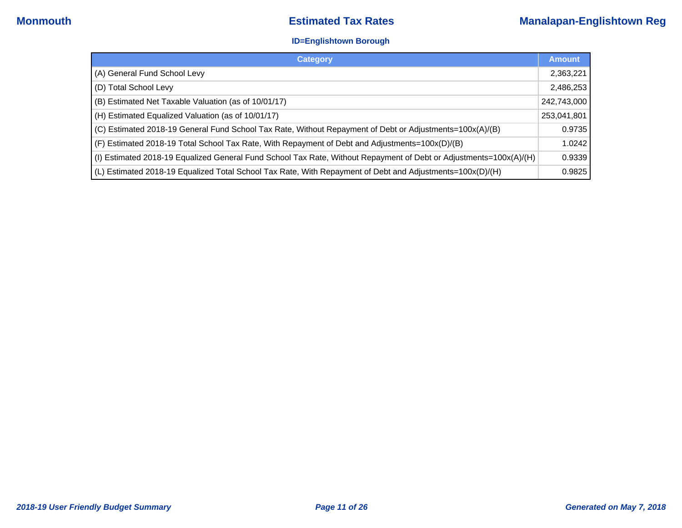### **ID=Englishtown Borough**

| <b>Category</b>                                                                                                    | <b>Amount</b> |
|--------------------------------------------------------------------------------------------------------------------|---------------|
| (A) General Fund School Levy                                                                                       | 2,363,221     |
| (D) Total School Levy                                                                                              | 2,486,253     |
| (B) Estimated Net Taxable Valuation (as of 10/01/17)                                                               | 242,743,000   |
| (H) Estimated Equalized Valuation (as of 10/01/17)                                                                 | 253,041,801   |
| (C) Estimated 2018-19 General Fund School Tax Rate, Without Repayment of Debt or Adjustments=100x(A)/(B)           | 0.9735        |
| (F) Estimated 2018-19 Total School Tax Rate, With Repayment of Debt and Adjustments=100x(D)/(B)                    | 1.0242        |
| (I) Estimated 2018-19 Equalized General Fund School Tax Rate, Without Repayment of Debt or Adjustments=100x(A) (H) | 0.9339        |
| (L) Estimated 2018-19 Equalized Total School Tax Rate, With Repayment of Debt and Adjustments=100x(D)/(H)          | 0.9825        |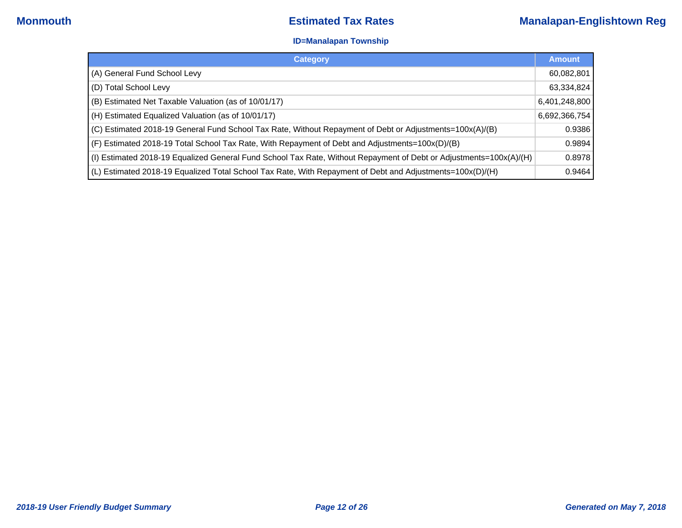### **ID=Manalapan Township**

| <b>Category</b>                                                                                                    | <b>Amount</b> |
|--------------------------------------------------------------------------------------------------------------------|---------------|
| (A) General Fund School Levy                                                                                       | 60,082,801    |
| (D) Total School Levy                                                                                              | 63,334,824    |
| (B) Estimated Net Taxable Valuation (as of 10/01/17)                                                               | 6,401,248,800 |
| (H) Estimated Equalized Valuation (as of 10/01/17)                                                                 | 6,692,366,754 |
| (C) Estimated 2018-19 General Fund School Tax Rate, Without Repayment of Debt or Adjustments=100x(A)/(B)           | 0.9386        |
| (F) Estimated 2018-19 Total School Tax Rate, With Repayment of Debt and Adjustments=100x(D)/(B)                    | 0.9894        |
| (I) Estimated 2018-19 Equalized General Fund School Tax Rate, Without Repayment of Debt or Adjustments=100x(A)/(H) | 0.8978        |
| (L) Estimated 2018-19 Equalized Total School Tax Rate, With Repayment of Debt and Adjustments=100x(D)/(H)          | 0.9464        |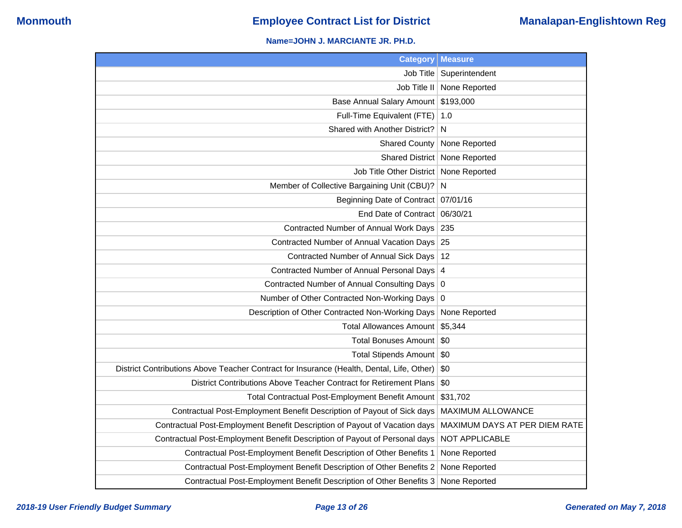## **Name=JOHN J. MARCIANTE JR. PH.D.**

| <b>Category</b>                                                                           | <b>Measure</b>                  |
|-------------------------------------------------------------------------------------------|---------------------------------|
| Job Title                                                                                 | Superintendent                  |
| Job Title II                                                                              | None Reported                   |
| <b>Base Annual Salary Amount</b>                                                          | \$193,000                       |
| Full-Time Equivalent (FTE)                                                                | 1.0                             |
| Shared with Another District?                                                             | N                               |
| <b>Shared County</b>                                                                      | None Reported                   |
|                                                                                           | Shared District   None Reported |
| Job Title Other District   None Reported                                                  |                                 |
| Member of Collective Bargaining Unit (CBU)?                                               | N                               |
| Beginning Date of Contract 07/01/16                                                       |                                 |
| End Date of Contract                                                                      | 06/30/21                        |
| Contracted Number of Annual Work Days                                                     | 235                             |
| Contracted Number of Annual Vacation Days                                                 | 25                              |
| Contracted Number of Annual Sick Days                                                     | 12                              |
| Contracted Number of Annual Personal Days                                                 | $\overline{4}$                  |
| Contracted Number of Annual Consulting Days 0                                             |                                 |
| Number of Other Contracted Non-Working Days 0                                             |                                 |
| Description of Other Contracted Non-Working Days                                          | None Reported                   |
| <b>Total Allowances Amount</b>                                                            | \$5,344                         |
| <b>Total Bonuses Amount</b>                                                               | \$0                             |
| Total Stipends Amount   \$0                                                               |                                 |
| District Contributions Above Teacher Contract for Insurance (Health, Dental, Life, Other) | \$0                             |
| District Contributions Above Teacher Contract for Retirement Plans                        | \$0                             |
| Total Contractual Post-Employment Benefit Amount                                          | \$31,702                        |
| Contractual Post-Employment Benefit Description of Payout of Sick days                    | <b>MAXIMUM ALLOWANCE</b>        |
| Contractual Post-Employment Benefit Description of Payout of Vacation days                | MAXIMUM DAYS AT PER DIEM RATE   |
| Contractual Post-Employment Benefit Description of Payout of Personal days                | NOT APPLICABLE                  |
| Contractual Post-Employment Benefit Description of Other Benefits 1                       | None Reported                   |
| Contractual Post-Employment Benefit Description of Other Benefits 2                       | None Reported                   |
| Contractual Post-Employment Benefit Description of Other Benefits 3                       | None Reported                   |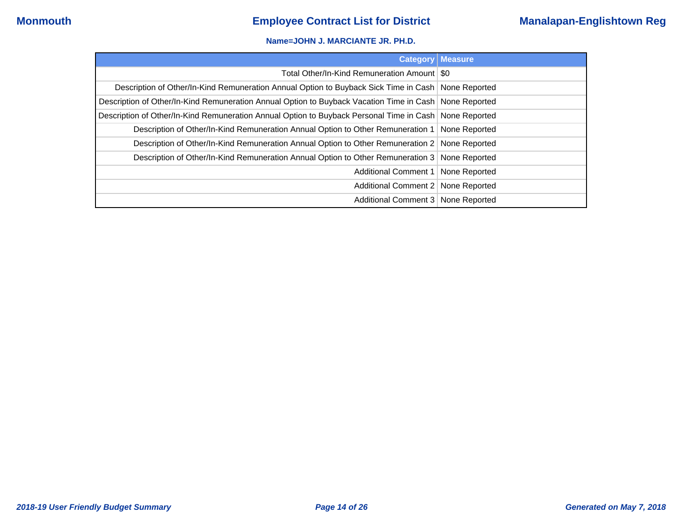### **Name=JOHN J. MARCIANTE JR. PH.D.**

| <b>Category   Measure</b>                                                                                |               |
|----------------------------------------------------------------------------------------------------------|---------------|
| Total Other/In-Kind Remuneration Amount   \$0                                                            |               |
| Description of Other/In-Kind Remuneration Annual Option to Buyback Sick Time in Cash   None Reported     |               |
| Description of Other/In-Kind Remuneration Annual Option to Buyback Vacation Time in Cash None Reported   |               |
| Description of Other/In-Kind Remuneration Annual Option to Buyback Personal Time in Cash   None Reported |               |
| Description of Other/In-Kind Remuneration Annual Option to Other Remuneration 1                          | None Reported |
| Description of Other/In-Kind Remuneration Annual Option to Other Remuneration 2                          | None Reported |
| Description of Other/In-Kind Remuneration Annual Option to Other Remuneration 3 None Reported            |               |
| Additional Comment 1                                                                                     | None Reported |
| Additional Comment 2   None Reported                                                                     |               |
| Additional Comment 3   None Reported                                                                     |               |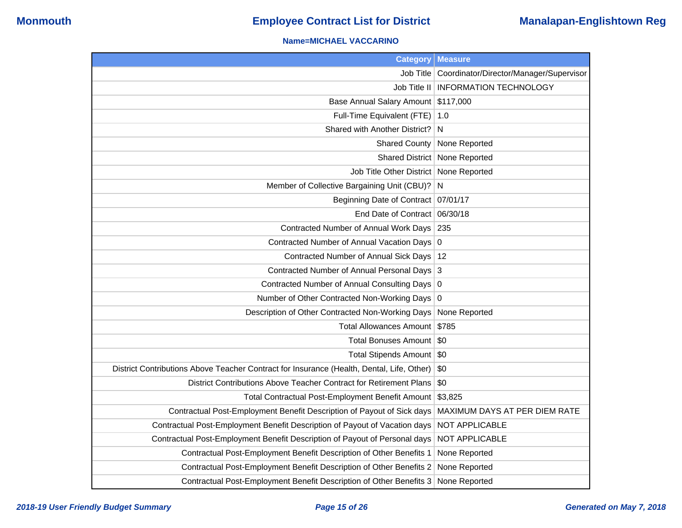## **Name=MICHAEL VACCARINO**

| <b>Category Measure</b>                                                                   |                                         |
|-------------------------------------------------------------------------------------------|-----------------------------------------|
| Job Title                                                                                 | Coordinator/Director/Manager/Supervisor |
| Job Title II                                                                              | <b>INFORMATION TECHNOLOGY</b>           |
| Base Annual Salary Amount                                                                 | \$117,000                               |
| Full-Time Equivalent (FTE)                                                                | 1.0                                     |
| Shared with Another District?                                                             | N                                       |
| <b>Shared County</b>                                                                      | None Reported                           |
|                                                                                           | Shared District   None Reported         |
| Job Title Other District   None Reported                                                  |                                         |
| Member of Collective Bargaining Unit (CBU)?                                               | N                                       |
| Beginning Date of Contract   07/01/17                                                     |                                         |
| End Date of Contract                                                                      | 06/30/18                                |
| Contracted Number of Annual Work Days                                                     | 235                                     |
| Contracted Number of Annual Vacation Days 0                                               |                                         |
| Contracted Number of Annual Sick Days   12                                                |                                         |
| Contracted Number of Annual Personal Days 3                                               |                                         |
| Contracted Number of Annual Consulting Days 0                                             |                                         |
| Number of Other Contracted Non-Working Days 0                                             |                                         |
| Description of Other Contracted Non-Working Days                                          | None Reported                           |
| Total Allowances Amount                                                                   | \$785                                   |
| Total Bonuses Amount   \$0                                                                |                                         |
| Total Stipends Amount   \$0                                                               |                                         |
| District Contributions Above Teacher Contract for Insurance (Health, Dental, Life, Other) | \$0                                     |
| District Contributions Above Teacher Contract for Retirement Plans                        | \$0                                     |
| Total Contractual Post-Employment Benefit Amount                                          | \$3,825                                 |
| Contractual Post-Employment Benefit Description of Payout of Sick days                    | MAXIMUM DAYS AT PER DIEM RATE           |
| Contractual Post-Employment Benefit Description of Payout of Vacation days                | NOT APPLICABLE                          |
| Contractual Post-Employment Benefit Description of Payout of Personal days                | NOT APPLICABLE                          |
| Contractual Post-Employment Benefit Description of Other Benefits 1                       | None Reported                           |
| Contractual Post-Employment Benefit Description of Other Benefits 2                       | None Reported                           |
| Contractual Post-Employment Benefit Description of Other Benefits 3                       | None Reported                           |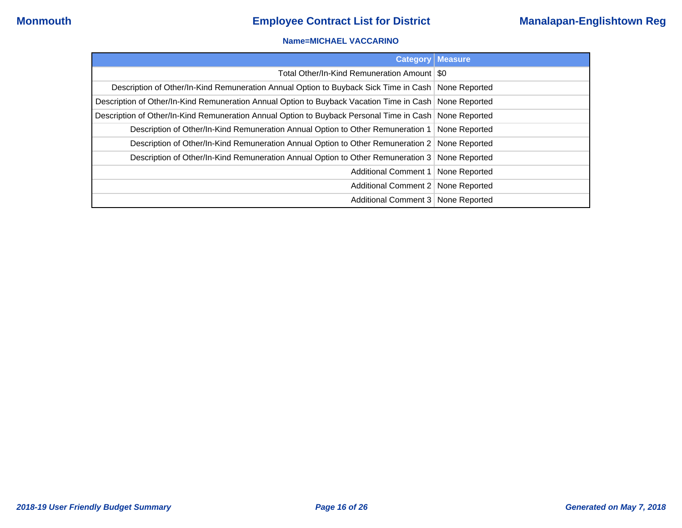### **Name=MICHAEL VACCARINO**

| <b>Category</b>                                                                                          | <b>Measure</b> |
|----------------------------------------------------------------------------------------------------------|----------------|
| Total Other/In-Kind Remuneration Amount   \$0                                                            |                |
| Description of Other/In-Kind Remuneration Annual Option to Buyback Sick Time in Cash   None Reported     |                |
| Description of Other/In-Kind Remuneration Annual Option to Buyback Vacation Time in Cash None Reported   |                |
| Description of Other/In-Kind Remuneration Annual Option to Buyback Personal Time in Cash   None Reported |                |
| Description of Other/In-Kind Remuneration Annual Option to Other Remuneration 1                          | None Reported  |
| Description of Other/In-Kind Remuneration Annual Option to Other Remuneration 2 None Reported            |                |
| Description of Other/In-Kind Remuneration Annual Option to Other Remuneration 3 None Reported            |                |
| Additional Comment 1                                                                                     | None Reported  |
| Additional Comment 2   None Reported                                                                     |                |
| Additional Comment 3 None Reported                                                                       |                |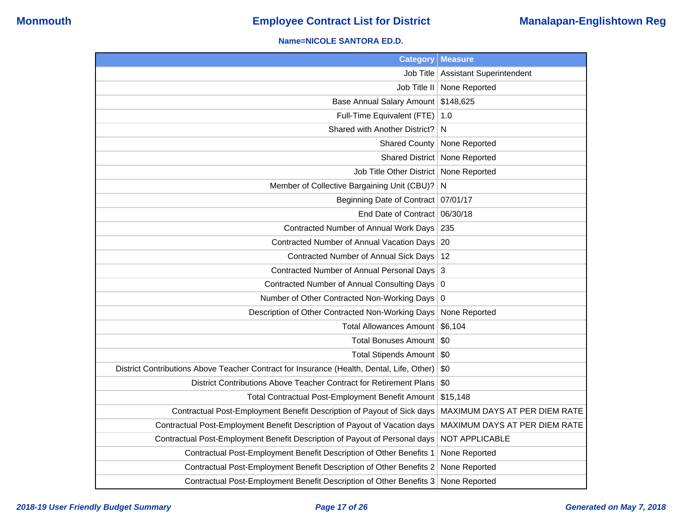### **Name=NICOLE SANTORA ED.D.**

| <b>Category</b>                                                                           | <b>Measure</b>                  |
|-------------------------------------------------------------------------------------------|---------------------------------|
| Job Title                                                                                 | <b>Assistant Superintendent</b> |
| Job Title II                                                                              | None Reported                   |
| <b>Base Annual Salary Amount</b>                                                          | \$148,625                       |
| Full-Time Equivalent (FTE)                                                                | 1.0                             |
| Shared with Another District?                                                             | N                               |
| <b>Shared County</b>                                                                      | None Reported                   |
| <b>Shared District</b>                                                                    | None Reported                   |
| Job Title Other District                                                                  | None Reported                   |
| Member of Collective Bargaining Unit (CBU)?                                               | N                               |
| Beginning Date of Contract   07/01/17                                                     |                                 |
| End Date of Contract                                                                      | 06/30/18                        |
| Contracted Number of Annual Work Days                                                     | 235                             |
| Contracted Number of Annual Vacation Days                                                 | -20                             |
| Contracted Number of Annual Sick Days                                                     | 12                              |
| Contracted Number of Annual Personal Days                                                 | 3                               |
| Contracted Number of Annual Consulting Days 0                                             |                                 |
| Number of Other Contracted Non-Working Days                                               | 0                               |
| Description of Other Contracted Non-Working Days                                          | None Reported                   |
| <b>Total Allowances Amount</b>                                                            | \$6,104                         |
| <b>Total Bonuses Amount</b>                                                               | \$0                             |
| Total Stipends Amount   \$0                                                               |                                 |
| District Contributions Above Teacher Contract for Insurance (Health, Dental, Life, Other) | \$0                             |
| District Contributions Above Teacher Contract for Retirement Plans                        | \$0                             |
| Total Contractual Post-Employment Benefit Amount                                          | \$15,148                        |
| Contractual Post-Employment Benefit Description of Payout of Sick days                    | MAXIMUM DAYS AT PER DIEM RATE   |
| Contractual Post-Employment Benefit Description of Payout of Vacation days                | MAXIMUM DAYS AT PER DIEM RATE   |
| Contractual Post-Employment Benefit Description of Payout of Personal days                | NOT APPLICABLE                  |
| Contractual Post-Employment Benefit Description of Other Benefits 1                       | None Reported                   |
| Contractual Post-Employment Benefit Description of Other Benefits 2                       | None Reported                   |
| Contractual Post-Employment Benefit Description of Other Benefits 3                       | None Reported                   |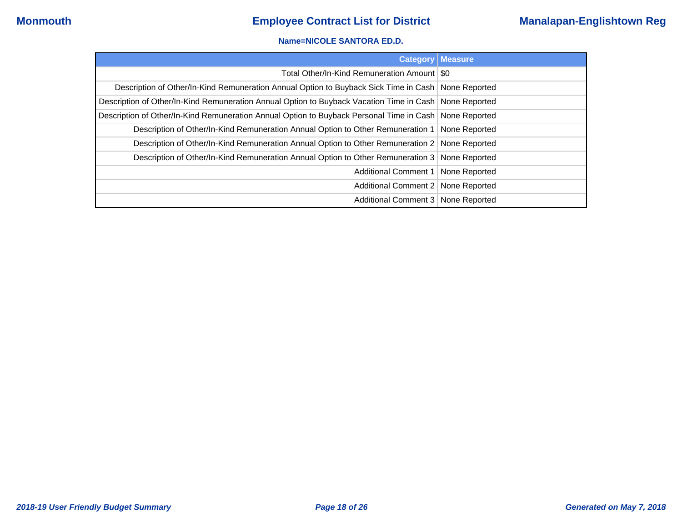### **Name=NICOLE SANTORA ED.D.**

|                                                                                                          | <b>Category   Measure</b> |
|----------------------------------------------------------------------------------------------------------|---------------------------|
| Total Other/In-Kind Remuneration Amount   \$0                                                            |                           |
| Description of Other/In-Kind Remuneration Annual Option to Buyback Sick Time in Cash   None Reported     |                           |
| Description of Other/In-Kind Remuneration Annual Option to Buyback Vacation Time in Cash   None Reported |                           |
| Description of Other/In-Kind Remuneration Annual Option to Buyback Personal Time in Cash None Reported   |                           |
| Description of Other/In-Kind Remuneration Annual Option to Other Remuneration 1   None Reported          |                           |
| Description of Other/In-Kind Remuneration Annual Option to Other Remuneration 2 None Reported            |                           |
| Description of Other/In-Kind Remuneration Annual Option to Other Remuneration 3 None Reported            |                           |
| Additional Comment 1   None Reported                                                                     |                           |
| Additional Comment 2   None Reported                                                                     |                           |
| Additional Comment 3   None Reported                                                                     |                           |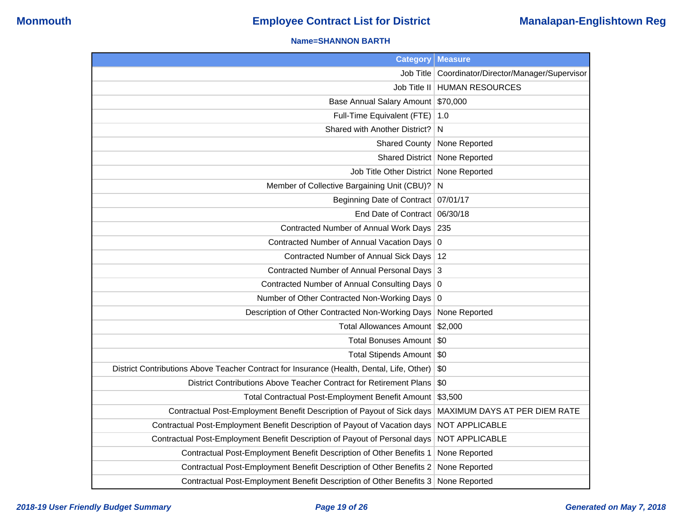### **Name=SHANNON BARTH**

|                                                                                           | <b>Category   Measure</b>               |
|-------------------------------------------------------------------------------------------|-----------------------------------------|
| Job Title                                                                                 | Coordinator/Director/Manager/Supervisor |
|                                                                                           | Job Title II   HUMAN RESOURCES          |
| Base Annual Salary Amount                                                                 | \$70,000                                |
| Full-Time Equivalent (FTE)                                                                | 1.0                                     |
| Shared with Another District?                                                             | N                                       |
| <b>Shared County</b>                                                                      | None Reported                           |
|                                                                                           | Shared District   None Reported         |
| Job Title Other District                                                                  | None Reported                           |
| Member of Collective Bargaining Unit (CBU)?                                               | N                                       |
| Beginning Date of Contract   07/01/17                                                     |                                         |
| End Date of Contract 06/30/18                                                             |                                         |
| Contracted Number of Annual Work Days                                                     | 235                                     |
| Contracted Number of Annual Vacation Days 0                                               |                                         |
| Contracted Number of Annual Sick Days                                                     | 12                                      |
| Contracted Number of Annual Personal Days 3                                               |                                         |
| Contracted Number of Annual Consulting Days 0                                             |                                         |
| Number of Other Contracted Non-Working Days 0                                             |                                         |
| Description of Other Contracted Non-Working Days                                          | None Reported                           |
| Total Allowances Amount \$2,000                                                           |                                         |
| Total Bonuses Amount                                                                      | \$0                                     |
| Total Stipends Amount                                                                     | \$0                                     |
| District Contributions Above Teacher Contract for Insurance (Health, Dental, Life, Other) | \$0                                     |
| District Contributions Above Teacher Contract for Retirement Plans                        | \$0                                     |
| Total Contractual Post-Employment Benefit Amount                                          | \$3,500                                 |
| Contractual Post-Employment Benefit Description of Payout of Sick days                    | MAXIMUM DAYS AT PER DIEM RATE           |
| Contractual Post-Employment Benefit Description of Payout of Vacation days                | NOT APPLICABLE                          |
| Contractual Post-Employment Benefit Description of Payout of Personal days                | NOT APPLICABLE                          |
| Contractual Post-Employment Benefit Description of Other Benefits 1                       | None Reported                           |
| Contractual Post-Employment Benefit Description of Other Benefits 2                       | None Reported                           |
| Contractual Post-Employment Benefit Description of Other Benefits 3                       | None Reported                           |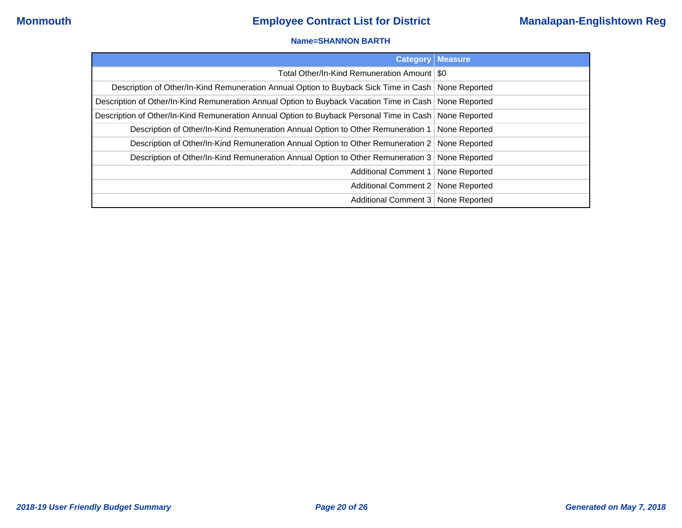### **Name=SHANNON BARTH**

| <b>Category</b>                                                                                          | Measure |
|----------------------------------------------------------------------------------------------------------|---------|
| Total Other/In-Kind Remuneration Amount   \$0                                                            |         |
| Description of Other/In-Kind Remuneration Annual Option to Buyback Sick Time in Cash   None Reported     |         |
| Description of Other/In-Kind Remuneration Annual Option to Buyback Vacation Time in Cash None Reported   |         |
| Description of Other/In-Kind Remuneration Annual Option to Buyback Personal Time in Cash   None Reported |         |
| Description of Other/In-Kind Remuneration Annual Option to Other Remuneration 1   None Reported          |         |
| Description of Other/In-Kind Remuneration Annual Option to Other Remuneration 2 None Reported            |         |
| Description of Other/In-Kind Remuneration Annual Option to Other Remuneration 3   None Reported          |         |
| Additional Comment 1   None Reported                                                                     |         |
| Additional Comment 2   None Reported                                                                     |         |
| Additional Comment 3 None Reported                                                                       |         |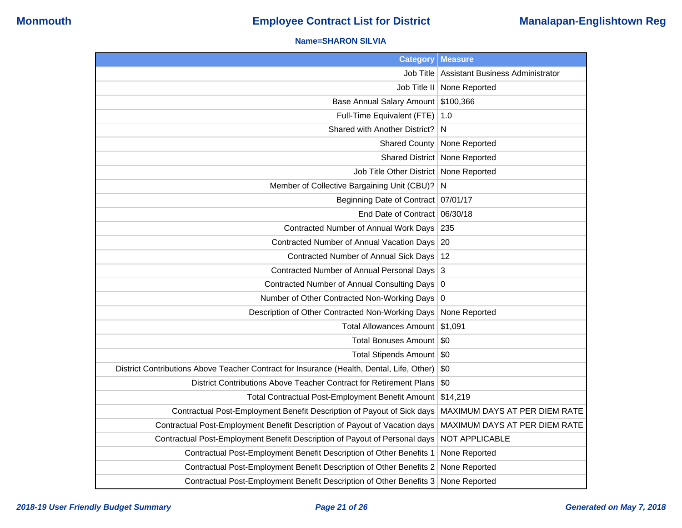### **Name=SHARON SILVIA**

| <b>Category</b>                                                                           | <b>Measure</b>                          |
|-------------------------------------------------------------------------------------------|-----------------------------------------|
| Job Title                                                                                 | <b>Assistant Business Administrator</b> |
| Job Title II                                                                              | None Reported                           |
| <b>Base Annual Salary Amount</b>                                                          | \$100,366                               |
| Full-Time Equivalent (FTE)                                                                | 1.0                                     |
| Shared with Another District?                                                             | N                                       |
| <b>Shared County</b>                                                                      | None Reported                           |
| <b>Shared District</b>                                                                    | None Reported                           |
| Job Title Other District                                                                  | None Reported                           |
| Member of Collective Bargaining Unit (CBU)?                                               | N                                       |
| Beginning Date of Contract                                                                | 07/01/17                                |
| End Date of Contract                                                                      | 06/30/18                                |
| Contracted Number of Annual Work Days                                                     | 235                                     |
| Contracted Number of Annual Vacation Days                                                 | 20                                      |
| Contracted Number of Annual Sick Days                                                     | 12                                      |
| Contracted Number of Annual Personal Days                                                 | 3                                       |
| Contracted Number of Annual Consulting Days                                               | $\overline{0}$                          |
| Number of Other Contracted Non-Working Days                                               | 0                                       |
| Description of Other Contracted Non-Working Days                                          | None Reported                           |
| <b>Total Allowances Amount</b>                                                            | \$1,091                                 |
| <b>Total Bonuses Amount</b>                                                               | \$0                                     |
| Total Stipends Amount                                                                     | \$0                                     |
| District Contributions Above Teacher Contract for Insurance (Health, Dental, Life, Other) | \$0                                     |
| District Contributions Above Teacher Contract for Retirement Plans                        | \$0                                     |
| Total Contractual Post-Employment Benefit Amount                                          | \$14,219                                |
| Contractual Post-Employment Benefit Description of Payout of Sick days                    | MAXIMUM DAYS AT PER DIEM RATE           |
| Contractual Post-Employment Benefit Description of Payout of Vacation days                | MAXIMUM DAYS AT PER DIEM RATE           |
| Contractual Post-Employment Benefit Description of Payout of Personal days                | NOT APPLICABLE                          |
| Contractual Post-Employment Benefit Description of Other Benefits 1                       | None Reported                           |
| Contractual Post-Employment Benefit Description of Other Benefits 2                       | None Reported                           |
| Contractual Post-Employment Benefit Description of Other Benefits 3                       | None Reported                           |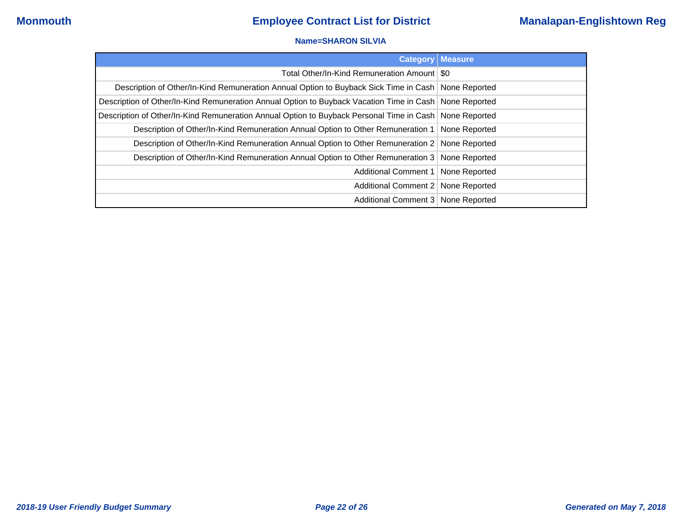### **Name=SHARON SILVIA**

|                                                                                                          | <b>Category Measure</b> |
|----------------------------------------------------------------------------------------------------------|-------------------------|
| Total Other/In-Kind Remuneration Amount   \$0                                                            |                         |
| Description of Other/In-Kind Remuneration Annual Option to Buyback Sick Time in Cash   None Reported     |                         |
| Description of Other/In-Kind Remuneration Annual Option to Buyback Vacation Time in Cash   None Reported |                         |
| Description of Other/In-Kind Remuneration Annual Option to Buyback Personal Time in Cash None Reported   |                         |
| Description of Other/In-Kind Remuneration Annual Option to Other Remuneration 1   None Reported          |                         |
| Description of Other/In-Kind Remuneration Annual Option to Other Remuneration 2   None Reported          |                         |
| Description of Other/In-Kind Remuneration Annual Option to Other Remuneration 3   None Reported          |                         |
| Additional Comment 1   None Reported                                                                     |                         |
| Additional Comment 2   None Reported                                                                     |                         |
| Additional Comment 3 None Reported                                                                       |                         |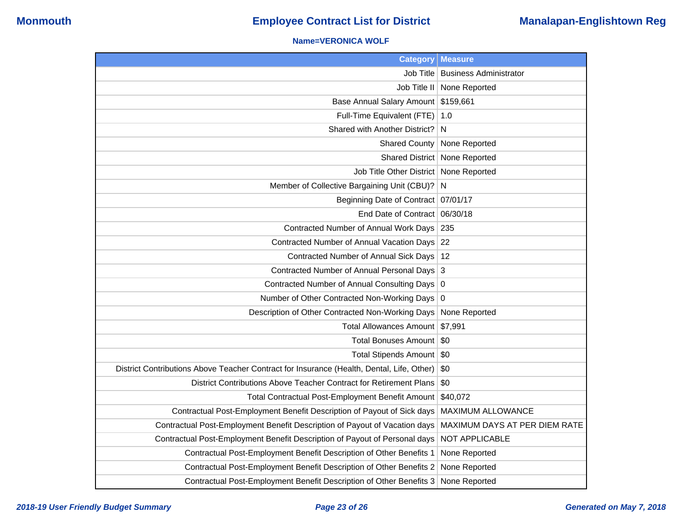### **Name=VERONICA WOLF**

| <b>Category</b>                                                                           | <b>Measure</b>                |
|-------------------------------------------------------------------------------------------|-------------------------------|
| Job Title                                                                                 | <b>Business Administrator</b> |
| Job Title II                                                                              | None Reported                 |
| <b>Base Annual Salary Amount</b>                                                          | \$159,661                     |
| Full-Time Equivalent (FTE)                                                                | 1.0                           |
| Shared with Another District?                                                             | N                             |
| <b>Shared County</b>                                                                      | None Reported                 |
| <b>Shared District</b>                                                                    | None Reported                 |
| Job Title Other District                                                                  | None Reported                 |
| Member of Collective Bargaining Unit (CBU)?                                               | N                             |
| <b>Beginning Date of Contract</b>                                                         | 07/01/17                      |
| End Date of Contract 06/30/18                                                             |                               |
| Contracted Number of Annual Work Days                                                     | 235                           |
| Contracted Number of Annual Vacation Days                                                 | 22                            |
| Contracted Number of Annual Sick Days                                                     | 12                            |
| Contracted Number of Annual Personal Days                                                 | 3                             |
| <b>Contracted Number of Annual Consulting Days</b>                                        | $\overline{0}$                |
| Number of Other Contracted Non-Working Days                                               | 0                             |
| Description of Other Contracted Non-Working Days                                          | None Reported                 |
| <b>Total Allowances Amount</b>                                                            | \$7,991                       |
| <b>Total Bonuses Amount</b>                                                               | \$0                           |
| <b>Total Stipends Amount</b>                                                              | \$0                           |
| District Contributions Above Teacher Contract for Insurance (Health, Dental, Life, Other) | \$0                           |
| District Contributions Above Teacher Contract for Retirement Plans                        | \$0                           |
| Total Contractual Post-Employment Benefit Amount                                          | \$40,072                      |
| Contractual Post-Employment Benefit Description of Payout of Sick days                    | <b>MAXIMUM ALLOWANCE</b>      |
| Contractual Post-Employment Benefit Description of Payout of Vacation days                | MAXIMUM DAYS AT PER DIEM RATE |
| Contractual Post-Employment Benefit Description of Payout of Personal days                | NOT APPLICABLE                |
| Contractual Post-Employment Benefit Description of Other Benefits 1                       | None Reported                 |
| Contractual Post-Employment Benefit Description of Other Benefits 2                       | None Reported                 |
| Contractual Post-Employment Benefit Description of Other Benefits 3                       | None Reported                 |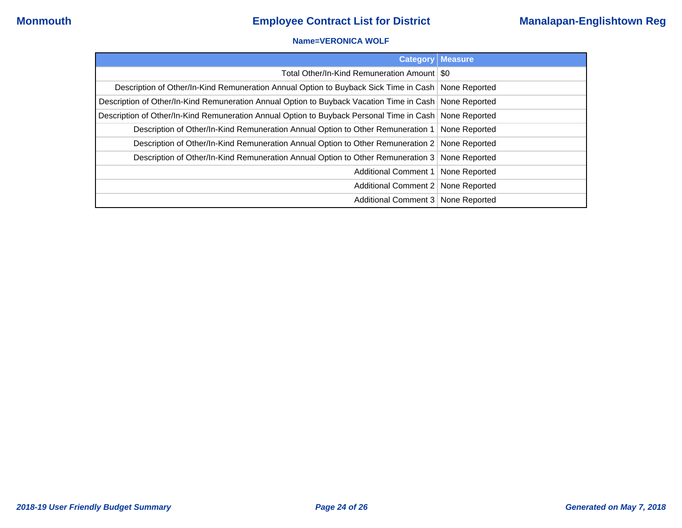### **Name=VERONICA WOLF**

|                                                                                                          | <b>Category Measure</b> |
|----------------------------------------------------------------------------------------------------------|-------------------------|
| Total Other/In-Kind Remuneration Amount   \$0                                                            |                         |
| Description of Other/In-Kind Remuneration Annual Option to Buyback Sick Time in Cash   None Reported     |                         |
| Description of Other/In-Kind Remuneration Annual Option to Buyback Vacation Time in Cash   None Reported |                         |
| Description of Other/In-Kind Remuneration Annual Option to Buyback Personal Time in Cash   None Reported |                         |
| Description of Other/In-Kind Remuneration Annual Option to Other Remuneration 1   None Reported          |                         |
| Description of Other/In-Kind Remuneration Annual Option to Other Remuneration 2 None Reported            |                         |
| Description of Other/In-Kind Remuneration Annual Option to Other Remuneration 3 None Reported            |                         |
| Additional Comment 1   None Reported                                                                     |                         |
| Additional Comment 2   None Reported                                                                     |                         |
| Additional Comment 3   None Reported                                                                     |                         |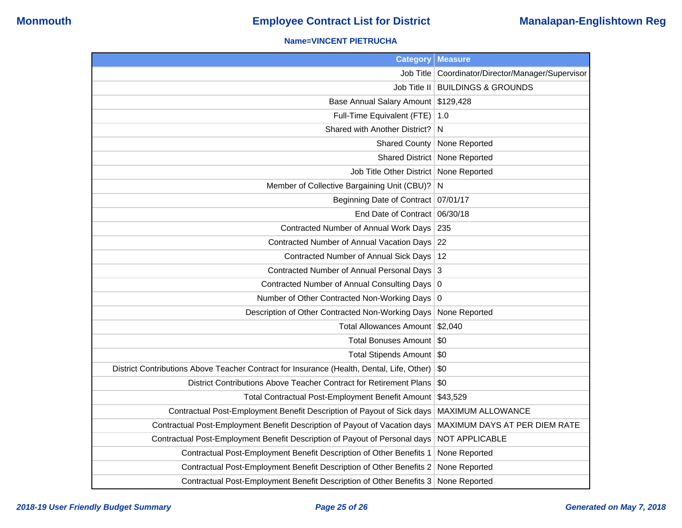## **Name=VINCENT PIETRUCHA**

| <b>Category</b>                                                                           | <b>Measure</b>                          |
|-------------------------------------------------------------------------------------------|-----------------------------------------|
| Job Title                                                                                 | Coordinator/Director/Manager/Supervisor |
|                                                                                           | Job Title II   BUILDINGS & GROUNDS      |
| Base Annual Salary Amount \$129,428                                                       |                                         |
| Full-Time Equivalent (FTE)   1.0                                                          |                                         |
| Shared with Another District?                                                             | N                                       |
| <b>Shared County</b>                                                                      | None Reported                           |
|                                                                                           | Shared District   None Reported         |
| Job Title Other District   None Reported                                                  |                                         |
| Member of Collective Bargaining Unit (CBU)? N                                             |                                         |
| Beginning Date of Contract   07/01/17                                                     |                                         |
| End Date of Contract 06/30/18                                                             |                                         |
| Contracted Number of Annual Work Days 235                                                 |                                         |
| Contracted Number of Annual Vacation Days 22                                              |                                         |
| Contracted Number of Annual Sick Days   12                                                |                                         |
| Contracted Number of Annual Personal Days 3                                               |                                         |
| Contracted Number of Annual Consulting Days 0                                             |                                         |
| Number of Other Contracted Non-Working Days 0                                             |                                         |
| Description of Other Contracted Non-Working Days                                          | None Reported                           |
| Total Allowances Amount \$2,040                                                           |                                         |
| Total Bonuses Amount   \$0                                                                |                                         |
| Total Stipends Amount   \$0                                                               |                                         |
| District Contributions Above Teacher Contract for Insurance (Health, Dental, Life, Other) | \$0                                     |
| District Contributions Above Teacher Contract for Retirement Plans                        | \$0                                     |
| Total Contractual Post-Employment Benefit Amount \$43,529                                 |                                         |
| Contractual Post-Employment Benefit Description of Payout of Sick days                    | <b>MAXIMUM ALLOWANCE</b>                |
| Contractual Post-Employment Benefit Description of Payout of Vacation days                | MAXIMUM DAYS AT PER DIEM RATE           |
| Contractual Post-Employment Benefit Description of Payout of Personal days                | NOT APPLICABLE                          |
| Contractual Post-Employment Benefit Description of Other Benefits 1                       | None Reported                           |
| Contractual Post-Employment Benefit Description of Other Benefits 2                       | None Reported                           |
| Contractual Post-Employment Benefit Description of Other Benefits 3                       | None Reported                           |